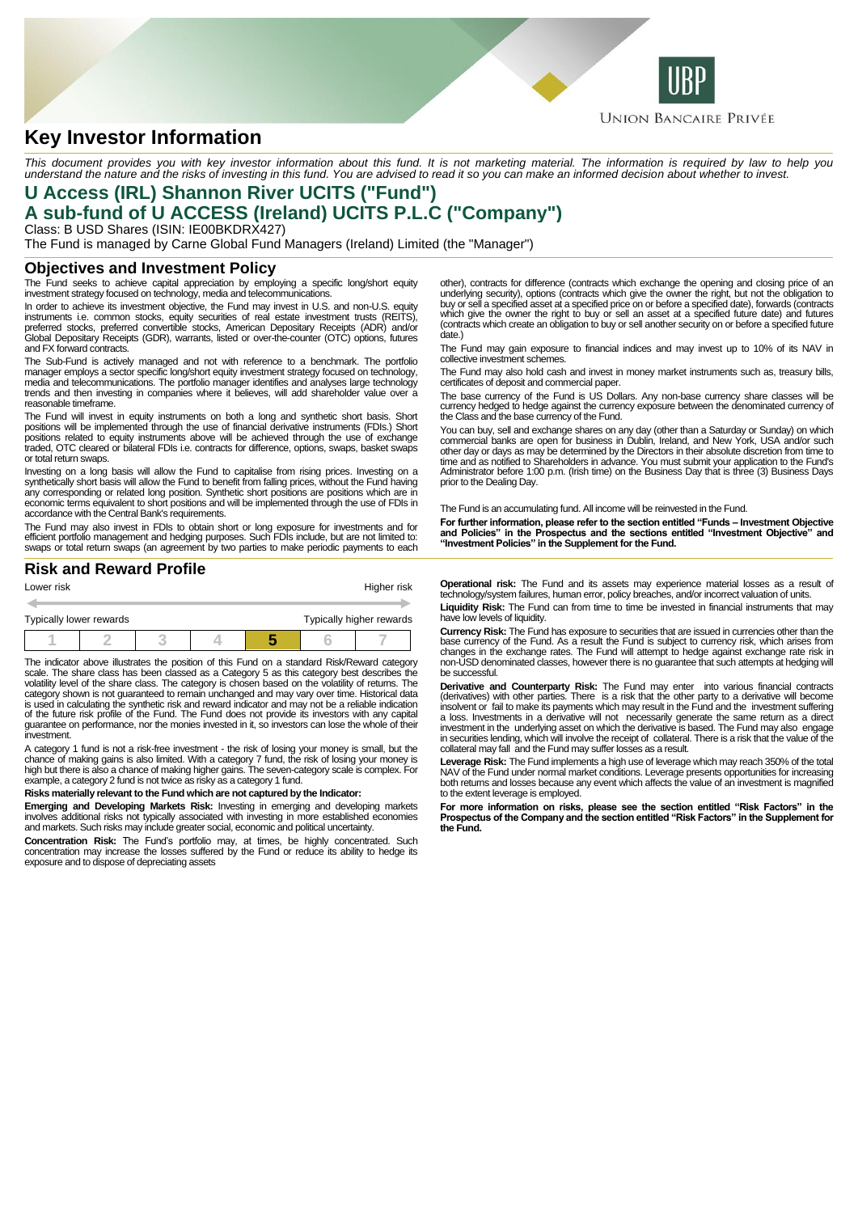

# **Key Investor Information**

This document provides you with key investor information about this fund. It is not marketing material. The information is required by law to help you<br>understand the nature and the risks of investing in this fund. You are

## **U Access (IRL) Shannon River UCITS ("Fund") A sub-fund of U ACCESS (Ireland) UCITS P.L.C ("Company")**

Class: B USD Shares (ISIN: IE00BKDRX427) The Fund is managed by Carne Global Fund Managers (Ireland) Limited (the "Manager")

#### **Objectives and Investment Policy**

The Fund seeks to achieve capital appreciation by employing a specific long/short equity investment strategy focused on technology, media and telecommunications.

In order to achieve its investment objective, the Fund may invest in U.S. and non-U.S. equity instruments i.e. common stocks, equity securities of real estate investment trusts (REITS),<br>preferred stocks, preferred convertible stocks, American Depositary Receipts (ADR) and/or<br>Global Depositary Receipts (GDR), warran and FX forward contracts.

The Sub-Fund is actively managed and not with reference to a benchmark. The portfolio manager employs a sector specific long/short equity investment strategy focused on technology, media and telecommunications. The portfolio manager identifies and analyses large technology trends and then investing in companies where it believes, will add shareholder value over a reasonable timeframe.

The Fund will invest in equity instruments on both a long and synthetic short basis. Short positions will be implemented through the use of financial derivative instruments (FDIs.) Short positions related to equity instruments above will be achieved through the use of exchange traded, OTC cleared or bilateral FDIs i.e. contracts for difference, options, swaps, basket swaps or total return swaps.

Investing on a long basis will allow the Fund to capitalise from rising prices. Investing on a<br>synthetically short basis will allow the Fund to benefit from falling prices, without the Fund having<br>any corresponding or rela economic terms equivalent to short positions and will be implemented through the use of FDIs in accordance with the Central Bank's requirements.

The Fund may also invest in FDIs to obtain short or long exposure for investments and for<br>efficient portfolio management and hedging purposes. Such FDIs include, but are not limited to:<br>swaps or total return swaps (an agre

### **Risk and Reward Profile**

| Lower risk              |  |  | Higher risk |  |                          |  |  |
|-------------------------|--|--|-------------|--|--------------------------|--|--|
|                         |  |  |             |  |                          |  |  |
| Typically lower rewards |  |  |             |  | Typically higher rewards |  |  |
|                         |  |  |             |  |                          |  |  |

The indicator above illustrates the position of this Fund on a standard Risk/Reward category scale. The share class has been classed as a Category 5 as this category best describes the volatility level of the share class. The category is chosen based on the volatility of returns. The category shown is not guaranteed to remain unchanged and may vary over time. Historical data is used in calculating the synthetic risk and reward indicator and may not be a reliable indication of the future risk profile of the Fund. The Fund does not provide its investors with any capital guarantee on performance, nor the monies invested in it, so investors can lose the whole of their investment.

A category 1 fund is not a risk-free investment - the risk of losing your money is small, but the<br>chance of making gains is also limited. With a category 7 fund, the risk of losing your money is<br>high but there is also a ch

#### **Risks materially relevant to the Fund which are not captured by the Indicator:**

**Emerging and Developing Markets Risk:** Investing in emerging and developing markets involves additional risks not typically associated with investing in more established economies and markets. Such risks may include greater social, economic and political uncertainty.

**Concentration Risk:** The Fund's portfolio may, at times, be highly concentrated. Such<br>concentration may increase the losses suffered by the Fund or reduce its ability to hedge its<br>exposure and to dispose of depreciating a

other), contracts for difference (contracts which exchange the opening and closing price of an underlying security), options (contracts which give the owner the right, but not the obligation to buy or sell a specified asset at a specified price on or before a specified date), forwards (contracts which give the owner the right to buy or sell an asset at a specified future date) and futures (contracts which create an obligation to buy or sell another security on or before a specified future date.)

The Fund may gain exposure to financial indices and may invest up to 10% of its NAV in collective investment schemes.

The Fund may also hold cash and invest in money market instruments such as, treasury bills, certificates of deposit and commercial paper.

The base currency of the Fund is US Dollars. Any non-base currency share classes will be currency hedged to hedge against the currency exposure between the denominated currency of the Class and the base currency of the Fund.

You can buy, sell and exchange shares on any day (other than a Saturday or Sunday) on which commercial banks are open for business in Dublin, Ireland, and New York, USA and/or such other day or days as may be determined by the Directors in their absolute discretion from time to<br>time and as notified to Shareholders in advance. You must submit your application to the Fund's<br>Administrator before 1:00 p. prior to the Dealing Day.

The Fund is an accumulating fund. All income will be reinvested in the Fund.

**For further information, please refer to the section entitled "Funds – Investment Objective and Policies" in the Prospectus and the sections entitled "Investment Objective" and "Investment Policies" in the Supplement for the Fund.**

**Operational risk:** The Fund and its assets may experience material losses as a result of technology/system failures, human error, policy breaches, and/or incorrect valuation of units.

**Liquidity Risk:** The Fund can from time to time be invested in financial instruments that may have low levels of liquidity.

**Currency Risk:** The Fund has exposure to securities that are issued in currencies other than the<br>base currency of the Fund. As a result the Fund is subject to currency risk, which arises from<br>changes in the exchange rates non-USD denominated classes, however there is no guarantee that such attempts at hedging will be successful.

**Derivative and Counterparty Risk:** The Fund may enter into various financial contracts (derivatives) with other parties. There is a risk that the other party to a derivative will become insolvent or fail to make its payments which may result in the Fund and the investment suffering a loss. Investments in a derivative will not necessarily generate the same return as a direct investment in the underlying asset on which the derivative is based. The Fund may also engage in securities lending, which will involve the receipt of collateral. There is a risk that the value of the collateral may fall and the Fund may suffer losses as a result.

Leverage Risk: The Fund implements a high use of leverage which may reach 350% of the total<br>NAV of the Fund under normal market conditions. Leverage presents opportunities for increasing<br>both returns and losses because any to the extent leverage is employed.

**For more information on risks, please see the section entitled "Risk Factors" in the Prospectus of the Company and the section entitled "Risk Factors" in the Supplement for the Fund.**